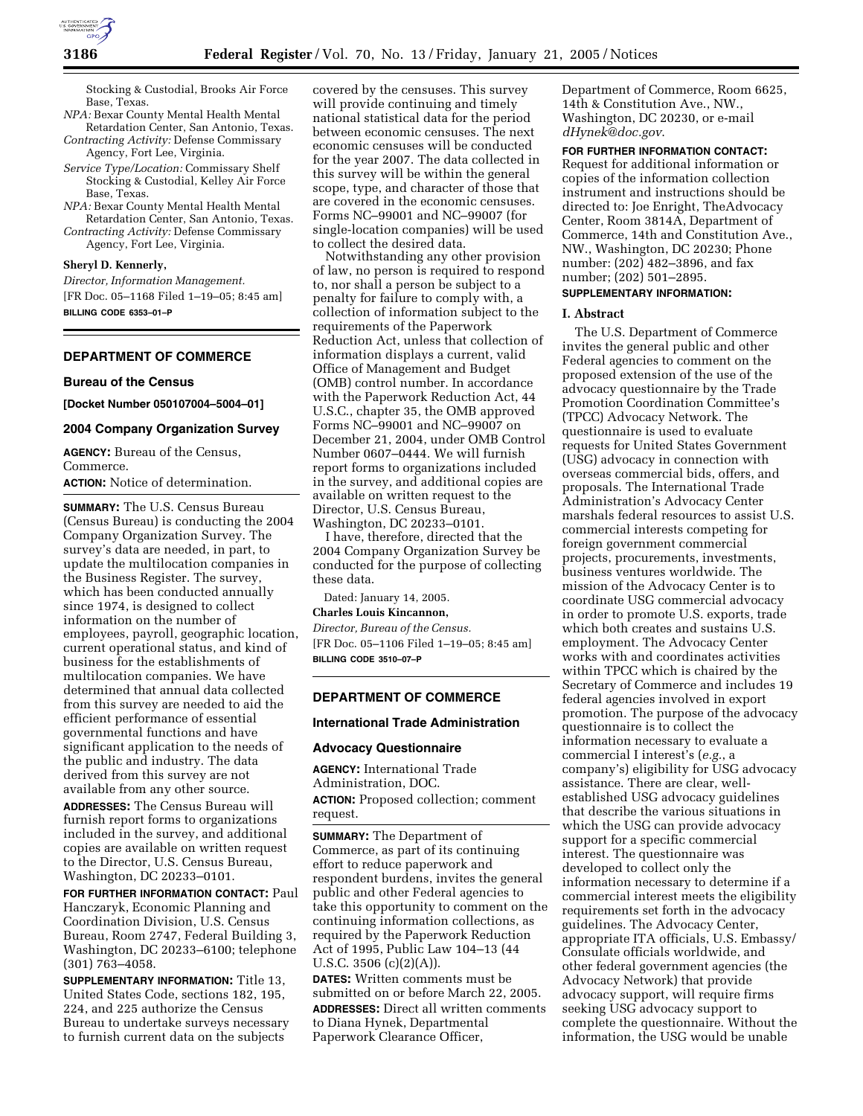Stocking & Custodial, Brooks Air Force Base, Texas.

- *NPA:* Bexar County Mental Health Mental Retardation Center, San Antonio, Texas. *Contracting Activity:* Defense Commissary
- Agency, Fort Lee, Virginia. *Service Type/Location:* Commissary Shelf Stocking & Custodial, Kelley Air Force Base, Texas.
- *NPA:* Bexar County Mental Health Mental Retardation Center, San Antonio, Texas. *Contracting Activity:* Defense Commissary Agency, Fort Lee, Virginia.

**Sheryl D. Kennerly,** 

*Director, Information Management.* [FR Doc. 05–1168 Filed 1–19–05; 8:45 am] **BILLING CODE 6353–01–P**

#### **DEPARTMENT OF COMMERCE**

#### **Bureau of the Census**

**[Docket Number 050107004–5004–01]** 

## **2004 Company Organization Survey**

**AGENCY:** Bureau of the Census, Commerce.

**ACTION:** Notice of determination.

**SUMMARY:** The U.S. Census Bureau (Census Bureau) is conducting the 2004 Company Organization Survey. The survey's data are needed, in part, to update the multilocation companies in the Business Register. The survey, which has been conducted annually since 1974, is designed to collect information on the number of employees, payroll, geographic location, current operational status, and kind of business for the establishments of multilocation companies. We have determined that annual data collected from this survey are needed to aid the efficient performance of essential governmental functions and have significant application to the needs of the public and industry. The data derived from this survey are not available from any other source.

**ADDRESSES:** The Census Bureau will furnish report forms to organizations included in the survey, and additional copies are available on written request to the Director, U.S. Census Bureau, Washington, DC 20233–0101.

**FOR FURTHER INFORMATION CONTACT:** Paul Hanczaryk, Economic Planning and Coordination Division, U.S. Census Bureau, Room 2747, Federal Building 3, Washington, DC 20233–6100; telephone (301) 763–4058.

**SUPPLEMENTARY INFORMATION:** Title 13, United States Code, sections 182, 195, 224, and 225 authorize the Census Bureau to undertake surveys necessary to furnish current data on the subjects

covered by the censuses. This survey will provide continuing and timely national statistical data for the period between economic censuses. The next economic censuses will be conducted for the year 2007. The data collected in this survey will be within the general scope, type, and character of those that are covered in the economic censuses. Forms NC–99001 and NC–99007 (for single-location companies) will be used to collect the desired data.

Notwithstanding any other provision of law, no person is required to respond to, nor shall a person be subject to a penalty for failure to comply with, a collection of information subject to the requirements of the Paperwork Reduction Act, unless that collection of information displays a current, valid Office of Management and Budget (OMB) control number. In accordance with the Paperwork Reduction Act, 44 U.S.C., chapter 35, the OMB approved Forms NC–99001 and NC–99007 on December 21, 2004, under OMB Control Number 0607–0444. We will furnish report forms to organizations included in the survey, and additional copies are available on written request to the Director, U.S. Census Bureau, Washington, DC 20233–0101.

I have, therefore, directed that the 2004 Company Organization Survey be conducted for the purpose of collecting these data.

Dated: January 14, 2005.

## **Charles Louis Kincannon,**

*Director, Bureau of the Census.* [FR Doc. 05–1106 Filed 1–19–05; 8:45 am] **BILLING CODE 3510–07–P**

## **DEPARTMENT OF COMMERCE**

### **International Trade Administration**

#### **Advocacy Questionnaire**

**AGENCY:** International Trade Administration, DOC. **ACTION:** Proposed collection; comment request.

**SUMMARY:** The Department of Commerce, as part of its continuing effort to reduce paperwork and respondent burdens, invites the general public and other Federal agencies to take this opportunity to comment on the continuing information collections, as required by the Paperwork Reduction Act of 1995, Public Law 104–13 (44 U.S.C. 3506 (c)(2)(A)).

**DATES:** Written comments must be submitted on or before March 22, 2005. **ADDRESSES:** Direct all written comments to Diana Hynek, Departmental Paperwork Clearance Officer,

Department of Commerce, Room 6625, 14th & Constitution Ave., NW., Washington, DC 20230, or e-mail *dHynek@doc.gov*.

**FOR FURTHER INFORMATION CONTACT:** Request for additional information or

copies of the information collection instrument and instructions should be directed to: Joe Enright, TheAdvocacy Center, Room 3814A, Department of Commerce, 14th and Constitution Ave., NW., Washington, DC 20230; Phone number: (202) 482–3896, and fax number; (202) 501–2895.

## **SUPPLEMENTARY INFORMATION:**

#### **I. Abstract**

The U.S. Department of Commerce invites the general public and other Federal agencies to comment on the proposed extension of the use of the advocacy questionnaire by the Trade Promotion Coordination Committee's (TPCC) Advocacy Network. The questionnaire is used to evaluate requests for United States Government (USG) advocacy in connection with overseas commercial bids, offers, and proposals. The International Trade Administration's Advocacy Center marshals federal resources to assist U.S. commercial interests competing for foreign government commercial projects, procurements, investments, business ventures worldwide. The mission of the Advocacy Center is to coordinate USG commercial advocacy in order to promote U.S. exports, trade which both creates and sustains U.S. employment. The Advocacy Center works with and coordinates activities within TPCC which is chaired by the Secretary of Commerce and includes 19 federal agencies involved in export promotion. The purpose of the advocacy questionnaire is to collect the information necessary to evaluate a commercial I interest's (*e.g.*, a company's) eligibility for USG advocacy assistance. There are clear, wellestablished USG advocacy guidelines that describe the various situations in which the USG can provide advocacy support for a specific commercial interest. The questionnaire was developed to collect only the information necessary to determine if a commercial interest meets the eligibility requirements set forth in the advocacy guidelines. The Advocacy Center, appropriate ITA officials, U.S. Embassy/ Consulate officials worldwide, and other federal government agencies (the Advocacy Network) that provide advocacy support, will require firms seeking USG advocacy support to complete the questionnaire. Without the information, the USG would be unable